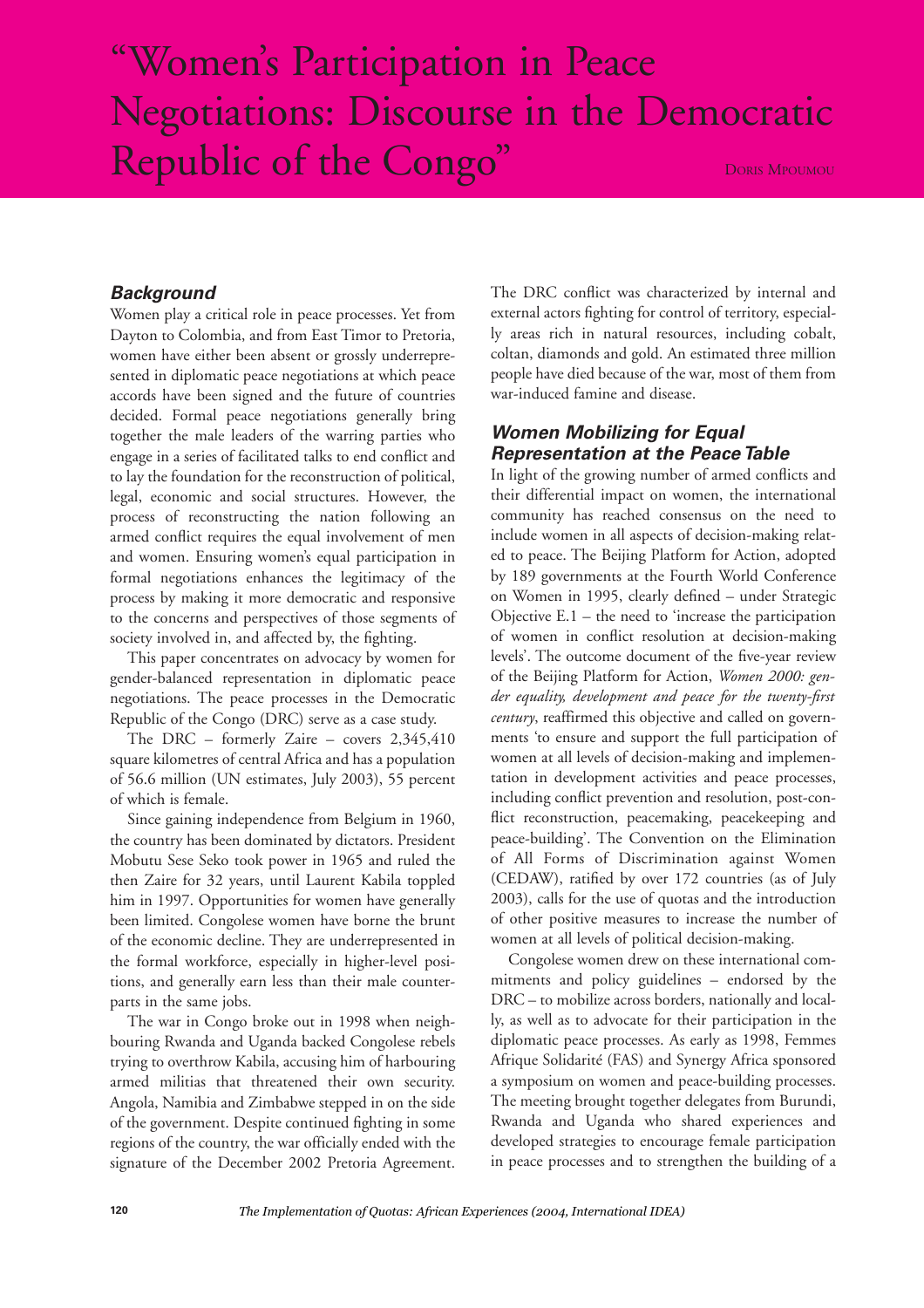# "Women's Participation in Peace Negotiations: Discourse in the Democratic Republic of the Congo" DORIS MPOUMOU

#### *Background*

Women play a critical role in peace processes. Yet from Dayton to Colombia, and from East Timor to Pretoria, women have either been absent or grossly underrepresented in diplomatic peace negotiations at which peace accords have been signed and the future of countries decided. Formal peace negotiations generally bring together the male leaders of the warring parties who engage in a series of facilitated talks to end conflict and to lay the foundation for the reconstruction of political, legal, economic and social structures. However, the process of reconstructing the nation following an armed conflict requires the equal involvement of men and women. Ensuring women's equal participation in formal negotiations enhances the legitimacy of the process by making it more democratic and responsive to the concerns and perspectives of those segments of society involved in, and affected by, the fighting.

This paper concentrates on advocacy by women for gender-balanced representation in diplomatic peace negotiations. The peace processes in the Democratic Republic of the Congo (DRC) serve as a case study.

The DRC – formerly Zaire – covers 2,345,410 square kilometres of central Africa and has a population of 56.6 million (UN estimates, July 2003), 55 percent of which is female.

Since gaining independence from Belgium in 1960, the country has been dominated by dictators. President Mobutu Sese Seko took power in 1965 and ruled the then Zaire for 32 years, until Laurent Kabila toppled him in 1997. Opportunities for women have generally been limited. Congolese women have borne the brunt of the economic decline. They are underrepresented in the formal workforce, especially in higher-level positions, and generally earn less than their male counterparts in the same jobs.

The war in Congo broke out in 1998 when neighbouring Rwanda and Uganda backed Congolese rebels trying to overthrow Kabila, accusing him of harbouring armed militias that threatened their own security. Angola, Namibia and Zimbabwe stepped in on the side of the government. Despite continued fighting in some regions of the country, the war officially ended with the signature of the December 2002 Pretoria Agreement.

The DRC conflict was characterized by internal and external actors fighting for control of territory, especially areas rich in natural resources, including cobalt, coltan, diamonds and gold. An estimated three million people have died because of the war, most of them from war-induced famine and disease.

## *Women Mobilizing for Equal Representation at the Peace Table*

In light of the growing number of armed conflicts and their differential impact on women, the international community has reached consensus on the need to include women in all aspects of decision-making related to peace. The Beijing Platform for Action, adopted by 189 governments at the Fourth World Conference on Women in 1995, clearly defined – under Strategic Objective E.1 – the need to 'increase the participation of women in conflict resolution at decision-making levels'. The outcome document of the five-year review of the Beijing Platform for Action, *Women 2000: gender equality, development and peace for the twenty-first century*, reaffirmed this objective and called on governments 'to ensure and support the full participation of women at all levels of decision-making and implementation in development activities and peace processes, including conflict prevention and resolution, post-conflict reconstruction, peacemaking, peacekeeping and peace-building'. The Convention on the Elimination of All Forms of Discrimination against Women (CEDAW), ratified by over 172 countries (as of July 2003), calls for the use of quotas and the introduction of other positive measures to increase the number of women at all levels of political decision-making.

Congolese women drew on these international commitments and policy guidelines – endorsed by the DRC – to mobilize across borders, nationally and locally, as well as to advocate for their participation in the diplomatic peace processes. As early as 1998, Femmes Afrique Solidarité (FAS) and Synergy Africa sponsored a symposium on women and peace-building processes. The meeting brought together delegates from Burundi, Rwanda and Uganda who shared experiences and developed strategies to encourage female participation in peace processes and to strengthen the building of a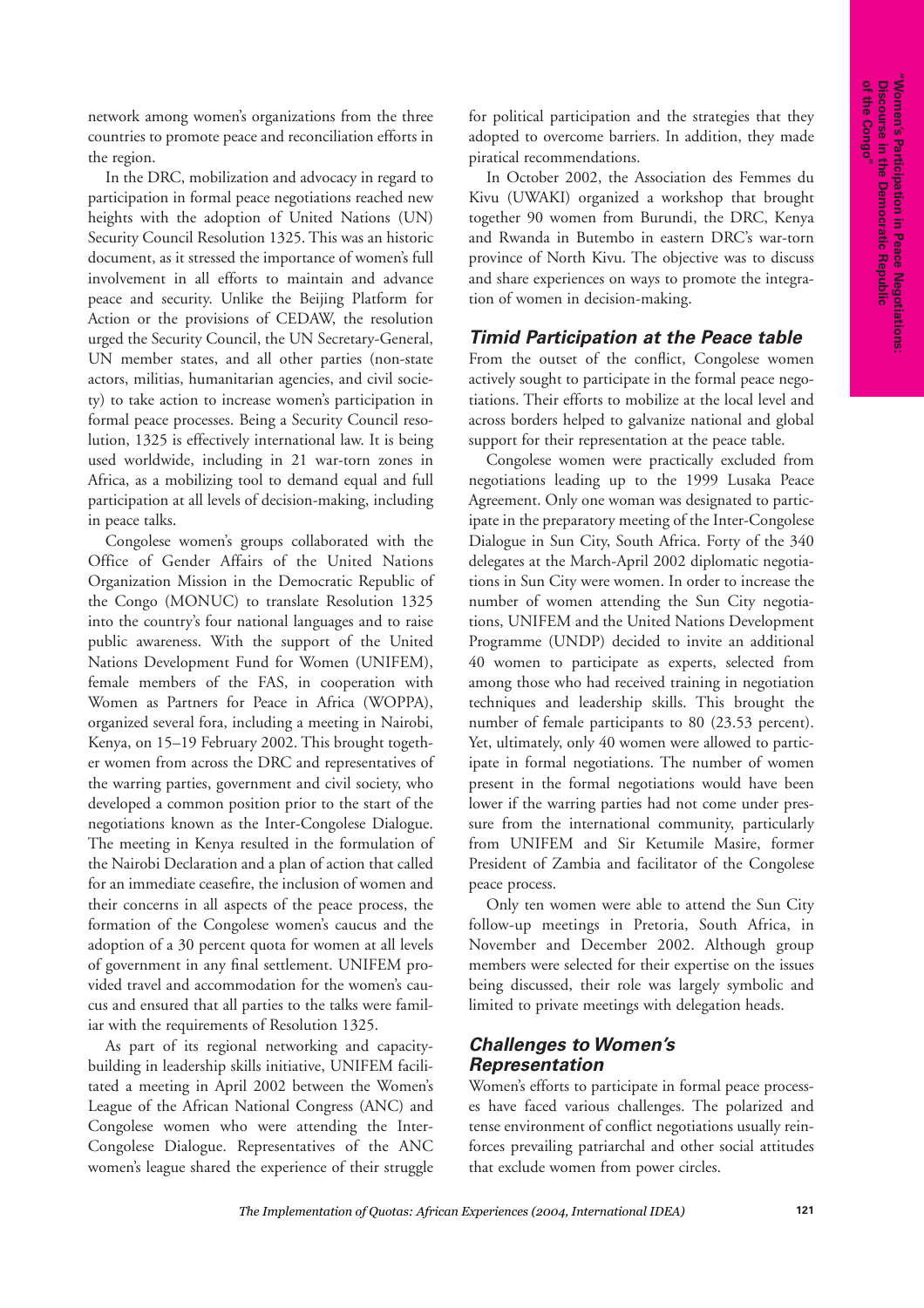network among women's organizations from the three countries to promote peace and reconciliation efforts in the region.

In the DRC, mobilization and advocacy in regard to participation in formal peace negotiations reached new heights with the adoption of United Nations (UN) Security Council Resolution 1325. This was an historic document, as it stressed the importance of women's full involvement in all efforts to maintain and advance peace and security. Unlike the Beijing Platform for Action or the provisions of CEDAW, the resolution urged the Security Council, the UN Secretary-General, UN member states, and all other parties (non-state actors, militias, humanitarian agencies, and civil society) to take action to increase women's participation in formal peace processes. Being a Security Council resolution, 1325 is effectively international law. It is being used worldwide, including in 21 war-torn zones in Africa, as a mobilizing tool to demand equal and full participation at all levels of decision-making, including in peace talks.

Congolese women's groups collaborated with the Office of Gender Affairs of the United Nations Organization Mission in the Democratic Republic of the Congo (MONUC) to translate Resolution 1325 into the country's four national languages and to raise public awareness. With the support of the United Nations Development Fund for Women (UNIFEM), female members of the FAS, in cooperation with Women as Partners for Peace in Africa (WOPPA), organized several fora, including a meeting in Nairobi, Kenya, on 15–19 February 2002. This brought together women from across the DRC and representatives of the warring parties, government and civil society, who developed a common position prior to the start of the negotiations known as the Inter-Congolese Dialogue. The meeting in Kenya resulted in the formulation of the Nairobi Declaration and a plan of action that called for an immediate ceasefire, the inclusion of women and their concerns in all aspects of the peace process, the formation of the Congolese women's caucus and the adoption of a 30 percent quota for women at all levels of government in any final settlement. UNIFEM provided travel and accommodation for the women's caucus and ensured that all parties to the talks were familiar with the requirements of Resolution 1325.

As part of its regional networking and capacitybuilding in leadership skills initiative, UNIFEM facilitated a meeting in April 2002 between the Women's League of the African National Congress (ANC) and Congolese women who were attending the Inter-Congolese Dialogue. Representatives of the ANC women's league shared the experience of their struggle for political participation and the strategies that they adopted to overcome barriers. In addition, they made piratical recommendations.

In October 2002, the Association des Femmes du Kivu (UWAKI) organized a workshop that brought together 90 women from Burundi, the DRC, Kenya and Rwanda in Butembo in eastern DRC's war-torn province of North Kivu. The objective was to discuss and share experiences on ways to promote the integration of women in decision-making.

## *Timid Participation at the Peace table*

From the outset of the conflict, Congolese women actively sought to participate in the formal peace negotiations. Their efforts to mobilize at the local level and across borders helped to galvanize national and global support for their representation at the peace table.

Congolese women were practically excluded from negotiations leading up to the 1999 Lusaka Peace Agreement. Only one woman was designated to participate in the preparatory meeting of the Inter-Congolese Dialogue in Sun City, South Africa. Forty of the 340 delegates at the March-April 2002 diplomatic negotiations in Sun City were women. In order to increase the number of women attending the Sun City negotiations, UNIFEM and the United Nations Development Programme (UNDP) decided to invite an additional 40 women to participate as experts, selected from among those who had received training in negotiation techniques and leadership skills. This brought the number of female participants to 80 (23.53 percent). Yet, ultimately, only 40 women were allowed to participate in formal negotiations. The number of women present in the formal negotiations would have been lower if the warring parties had not come under pressure from the international community, particularly from UNIFEM and Sir Ketumile Masire, former President of Zambia and facilitator of the Congolese peace process.

Only ten women were able to attend the Sun City follow-up meetings in Pretoria, South Africa, in November and December 2002. Although group members were selected for their expertise on the issues being discussed, their role was largely symbolic and limited to private meetings with delegation heads.

#### *Challenges to Women's Representation*

Women's efforts to participate in formal peace processes have faced various challenges. The polarized and tense environment of conflict negotiations usually reinforces prevailing patriarchal and other social attitudes that exclude women from power circles.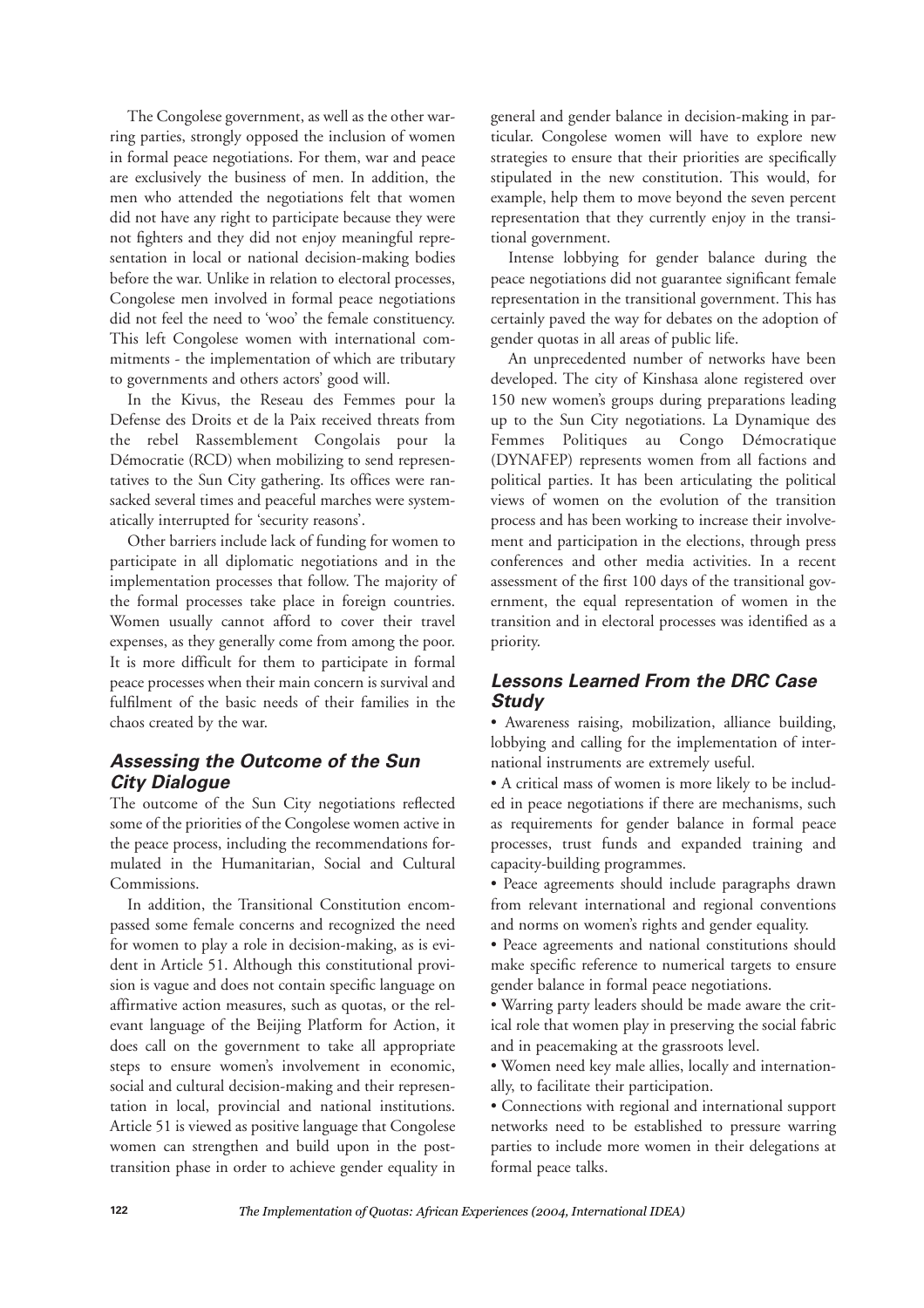The Congolese government, as well as the other warring parties, strongly opposed the inclusion of women in formal peace negotiations. For them, war and peace are exclusively the business of men. In addition, the men who attended the negotiations felt that women did not have any right to participate because they were not fighters and they did not enjoy meaningful representation in local or national decision-making bodies before the war. Unlike in relation to electoral processes, Congolese men involved in formal peace negotiations did not feel the need to 'woo' the female constituency. This left Congolese women with international commitments - the implementation of which are tributary to governments and others actors' good will.

In the Kivus, the Reseau des Femmes pour la Defense des Droits et de la Paix received threats from the rebel Rassemblement Congolais pour la Démocratie (RCD) when mobilizing to send representatives to the Sun City gathering. Its offices were ransacked several times and peaceful marches were systematically interrupted for 'security reasons'.

Other barriers include lack of funding for women to participate in all diplomatic negotiations and in the implementation processes that follow. The majority of the formal processes take place in foreign countries. Women usually cannot afford to cover their travel expenses, as they generally come from among the poor. It is more difficult for them to participate in formal peace processes when their main concern is survival and fulfilment of the basic needs of their families in the chaos created by the war.

## *Assessing the Outcome of the Sun City Dialogue*

The outcome of the Sun City negotiations reflected some of the priorities of the Congolese women active in the peace process, including the recommendations formulated in the Humanitarian, Social and Cultural Commissions.

In addition, the Transitional Constitution encompassed some female concerns and recognized the need for women to play a role in decision-making, as is evident in Article 51. Although this constitutional provision is vague and does not contain specific language on affirmative action measures, such as quotas, or the relevant language of the Beijing Platform for Action, it does call on the government to take all appropriate steps to ensure women's involvement in economic, social and cultural decision-making and their representation in local, provincial and national institutions. Article 51 is viewed as positive language that Congolese women can strengthen and build upon in the posttransition phase in order to achieve gender equality in

general and gender balance in decision-making in particular. Congolese women will have to explore new strategies to ensure that their priorities are specifically stipulated in the new constitution. This would, for example, help them to move beyond the seven percent representation that they currently enjoy in the transitional government.

Intense lobbying for gender balance during the peace negotiations did not guarantee significant female representation in the transitional government. This has certainly paved the way for debates on the adoption of gender quotas in all areas of public life.

An unprecedented number of networks have been developed. The city of Kinshasa alone registered over 150 new women's groups during preparations leading up to the Sun City negotiations. La Dynamique des Femmes Politiques au Congo Démocratique (DYNAFEP) represents women from all factions and political parties. It has been articulating the political views of women on the evolution of the transition process and has been working to increase their involvement and participation in the elections, through press conferences and other media activities. In a recent assessment of the first 100 days of the transitional government, the equal representation of women in the transition and in electoral processes was identified as a priority.

## *Lessons Learned From the DRC Case Study*

• Awareness raising, mobilization, alliance building, lobbying and calling for the implementation of international instruments are extremely useful.

• A critical mass of women is more likely to be included in peace negotiations if there are mechanisms, such as requirements for gender balance in formal peace processes, trust funds and expanded training and capacity-building programmes.

• Peace agreements should include paragraphs drawn from relevant international and regional conventions and norms on women's rights and gender equality.

• Peace agreements and national constitutions should make specific reference to numerical targets to ensure gender balance in formal peace negotiations.

• Warring party leaders should be made aware the critical role that women play in preserving the social fabric and in peacemaking at the grassroots level.

• Women need key male allies, locally and internationally, to facilitate their participation.

• Connections with regional and international support networks need to be established to pressure warring parties to include more women in their delegations at formal peace talks.